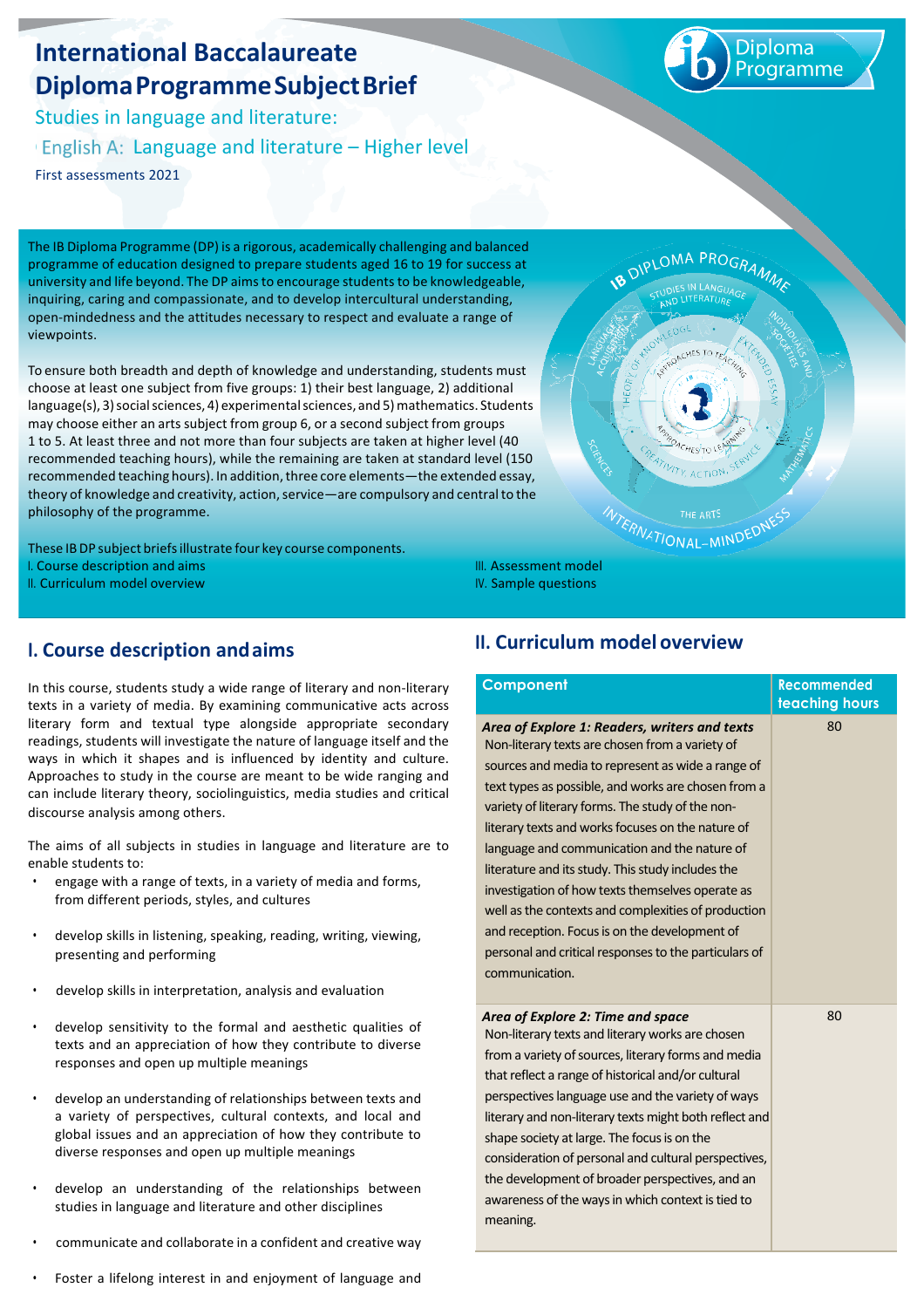# **International Baccalaureate DiplomaProgrammeSubjectBrief**

Studies in language and literature:

English A: Language and literature  $-$  Higher level

First assessments 2021

Diploma rogramme

The IB Diploma Programme (DP) is a rigorous, academically challenging and balanced programme of education designed to prepare students aged 16 to 19 for success at university and life beyond. The DP aims to encourage students to be knowledgeable, inquiring, caring and compassionate, and to develop intercultural understanding, open-mindedness and the attitudes necessary to respect and evaluate a range of viewpoints.

To ensure both breadth and depth of knowledge and understanding, students must choose at least one subiect from five groups: 1) their best language, 2) additional language(s), 3)socialsciences, 4) experimentalsciences, and 5)mathematics. Students may choose either an arts subject from group 6, or a second subject from groups 1 to 5. At least three and not more than four subjects are taken at higher level (40 recommended teaching hours), while the remaining are taken at standard level (150 recommended teaching hours). In addition, three core elements—the extended essay, theory of knowledge and creativity, action, service—are compulsory and central to the philosophy of the programme.

These IBDP subject briefsillustrate four key course components. I. Course description and aims II. Curriculum model overview

PLOMA PROGRA ATIONAL-MIND

## **I. Course description andaims**

In this course, students study a wide range of literary and non-literary texts in a variety of media. By examining communicative acts across literary form and textual type alongside appropriate secondary readings, students will investigate the nature of language itself and the ways in which it shapes and is influenced by identity and culture. Approaches to study in the course are meant to be wide ranging and can include literary theory, sociolinguistics, media studies and critical discourse analysis among others.

The aims of all subiects in studies in language and literature are to enable students to:

- engage with a range of texts, in a variety of media and forms, from different periods, styles, and cultures
- develop skills in listening, speaking, reading, writing, viewing, presenting and performing
- develop skills in interpretation, analysis and evaluation
- develop sensitivity to the formal and aesthetic qualities of texts and an appreciation of how they contribute to diverse responses and open up multiple meanings
- develop an understanding of relationships between texts and a variety of perspectives, cultural contexts, and local and global issues and an appreciation of how they contribute to diverse responses and open up multiple meanings
- develop an understanding of the relationships between studies in language and literature and other disciplines
- communicate and collaborate in a confident and creative way
- Foster a lifelong interest in and enjoyment of language and

## **II. Curriculum model overview**

III. Assessment model IV. Sample questions

| Component                                                                                                                                                                                                                                                                                                                                                                                                                                                                                                                                                                                                                                                         | <b>Recommended</b><br>teaching hours |
|-------------------------------------------------------------------------------------------------------------------------------------------------------------------------------------------------------------------------------------------------------------------------------------------------------------------------------------------------------------------------------------------------------------------------------------------------------------------------------------------------------------------------------------------------------------------------------------------------------------------------------------------------------------------|--------------------------------------|
| Area of Explore 1: Readers, writers and texts<br>Non-literary texts are chosen from a variety of<br>sources and media to represent as wide a range of<br>text types as possible, and works are chosen from a<br>variety of literary forms. The study of the non-<br>literary texts and works focuses on the nature of<br>language and communication and the nature of<br>literature and its study. This study includes the<br>investigation of how texts themselves operate as<br>well as the contexts and complexities of production<br>and reception. Focus is on the development of<br>personal and critical responses to the particulars of<br>communication. | 80                                   |
| Area of Explore 2: Time and space<br>Non-literary texts and literary works are chosen<br>from a variety of sources, literary forms and media<br>that reflect a range of historical and/or cultural<br>perspectives language use and the variety of ways<br>literary and non-literary texts might both reflect and<br>shape society at large. The focus is on the<br>consideration of personal and cultural perspectives,<br>the development of broader perspectives, and an<br>awareness of the ways in which context is tied to<br>meaning.                                                                                                                      | 80                                   |